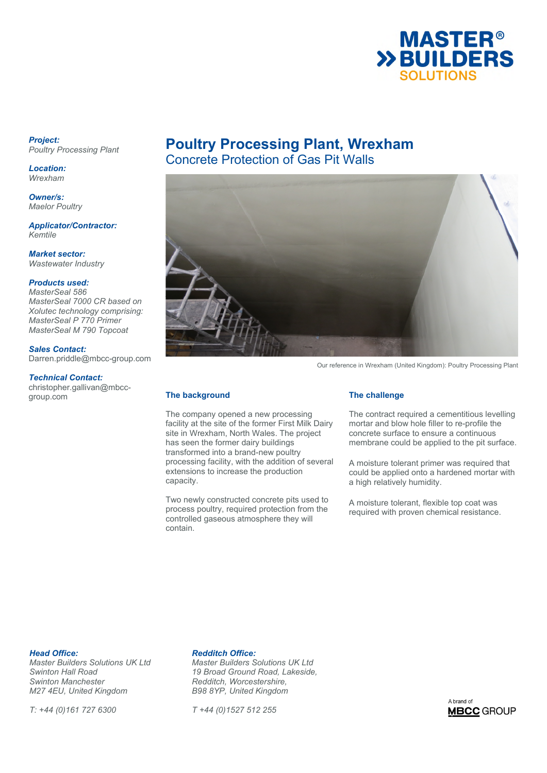

### *Project: Poultry Processing Plant*

*Location: Wrexham* 

*Owner/s: Maelor Poultry* 

*Applicator/Contractor: Kemtile* 

*Market sector: Wastewater Industry* 

# *Products used:*

*MasterSeal 586 MasterSeal 7000 CR based on Xolutec technology comprising: MasterSeal P 770 Primer MasterSeal M 790 Topcoat* 

### *Sales Contact:*

Darren.priddle@mbcc-group.com

### *Technical Contact:*

christopher.gallivan@mbccgroup.com

# **Poultry Processing Plant, Wrexham**  Concrete Protection of Gas Pit Walls



Our reference in Wrexham (United Kingdom): Poultry Processing Plant

# **The background**

The company opened a new processing facility at the site of the former First Milk Dairy site in Wrexham, North Wales. The project has seen the former dairy buildings transformed into a brand-new poultry processing facility, with the addition of several extensions to increase the production capacity.

Two newly constructed concrete pits used to process poultry, required protection from the controlled gaseous atmosphere they will contain.

### **The challenge**

The contract required a cementitious levelling mortar and blow hole filler to re-profile the concrete surface to ensure a continuous membrane could be applied to the pit surface.

A moisture tolerant primer was required that could be applied onto a hardened mortar with a high relatively humidity.

A moisture tolerant, flexible top coat was required with proven chemical resistance.

**Head Office: Redditch Office:**<br> *Master Builders Solutions UK Ltd* Master Builders S *Swinton Manchester Redditch, Worcestershire, M27 4EU, United Kingdom* 

*T: +44 (0)161 727 6300 T +44 (0)1527 512 255* 

*Master Builders Solutions UK Ltd Master Builders Solutions UK Ltd Swinton Hall Road 19 Broad Ground Road, Lakeside,* 

A brand of **MBCC** GROUP